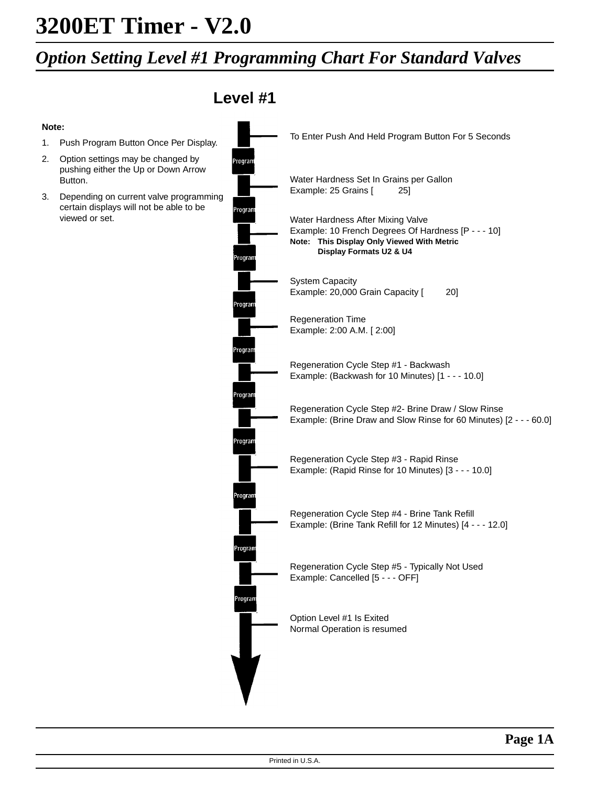**Note:**

Button.

viewed or set.

### *Option Setting Level #1 Programming Chart For Standard Valves*

**Level #1** To Enter Push And Held Program Button For 5 Seconds 1. Push Program Button Once Per Display. 2. Option settings may be changed by Program pushing either the Up or Down Arrow Water Hardness Set In Grains per Gallon Example: 25 Grains [ 25] 3. Depending on current valve programming certain displays will not be able to be Water Hardness After Mixing Valve Example: 10 French Degrees Of Hardness [P - - - 10] **Note: This Display Only Viewed With Metric Display Formats U2 & U4** rogram System Capacity Example: 20,000 Grain Capacity [ 20] roora Regeneration Time Example: 2:00 A.M. [ 2:00] <sup>o</sup>rogran Regeneration Cycle Step #1 - Backwash Example: (Backwash for 10 Minutes) [1 - - - 10.0] <sup>2</sup>rogra Regeneration Cycle Step #2- Brine Draw / Slow Rinse Example: (Brine Draw and Slow Rinse for 60 Minutes) [2 - - - 60.0] rograr Regeneration Cycle Step #3 - Rapid Rinse Example: (Rapid Rinse for 10 Minutes) [3 - - - 10.0] rogran Regeneration Cycle Step #4 - Brine Tank Refill Example: (Brine Tank Refill for 12 Minutes) [4 - - - 12.0] rogran Regeneration Cycle Step #5 - Typically Not Used Example: Cancelled [5 - - - OFF] Progra<mark>n</mark> Option Level #1 Is Exited Normal Operation is resumed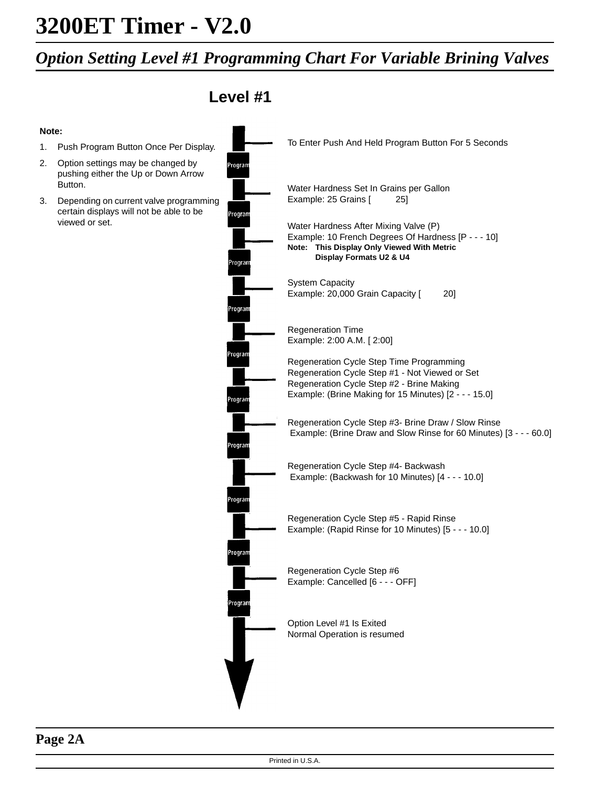### *Option Setting Level #1 Programming Chart For Variable Brining Valves*

**Level #1**

**Note:**

- 1. Push Program Button Once Per Display.
- 2. Option settings may be changed by pushing either the Up or Down Arrow Button.
- 3. Depending on current valve programming certain displays will not be able to be viewed or set.

|                    | To Enter Push And Held Program Button For 5 Seconds                                                                                                                                              |
|--------------------|--------------------------------------------------------------------------------------------------------------------------------------------------------------------------------------------------|
| Program            | Water Hardness Set In Grains per Gallon<br>Example: 25 Grains [<br>25]                                                                                                                           |
| Program<br>Program | Water Hardness After Mixing Valve (P)<br>Example: 10 French Degrees Of Hardness [P - - - 10]<br>This Display Only Viewed With Metric<br>Note:<br>Display Formats U2 & U4                         |
| Program            | <b>System Capacity</b><br>Example: 20,000 Grain Capacity [<br>20]                                                                                                                                |
|                    | <b>Regeneration Time</b><br>Example: 2:00 A.M. [2:00]                                                                                                                                            |
| Program<br>Program | Regeneration Cycle Step Time Programming<br>Regeneration Cycle Step #1 - Not Viewed or Set<br>Regeneration Cycle Step #2 - Brine Making<br>Example: (Brine Making for 15 Minutes) [2 - - - 15.0] |
| Program            | Regeneration Cycle Step #3- Brine Draw / Slow Rinse<br>Example: (Brine Draw and Slow Rinse for 60 Minutes) [3 - - - 60.0]                                                                        |
| Program            | Regeneration Cycle Step #4- Backwash<br>Example: (Backwash for 10 Minutes) [4 - - - 10.0]                                                                                                        |
|                    | Regeneration Cycle Step #5 - Rapid Rinse<br>Example: (Rapid Rinse for 10 Minutes) [5 - - - 10.0]                                                                                                 |
| Program            | Regeneration Cycle Step #6<br>Example: Cancelled [6 - - - OFF]                                                                                                                                   |
| Program            | Option Level #1 Is Exited<br>Normal Operation is resumed                                                                                                                                         |
|                    |                                                                                                                                                                                                  |

### **Page 2A**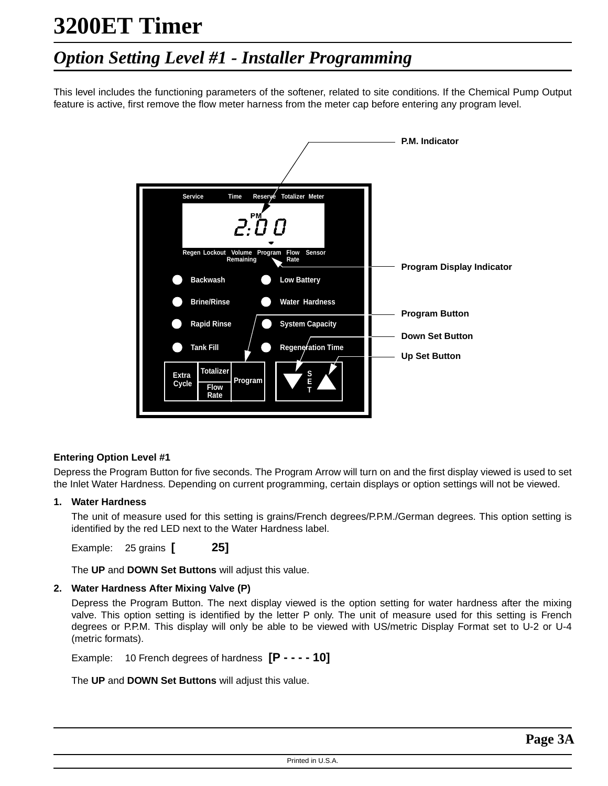### *Option Setting Level #1 - Installer Programming*

This level includes the functioning parameters of the softener, related to site conditions. If the Chemical Pump Output feature is active, first remove the flow meter harness from the meter cap before entering any program level.



#### **Entering Option Level #1**

Depress the Program Button for five seconds. The Program Arrow will turn on and the first display viewed is used to set the Inlet Water Hardness. Depending on current programming, certain displays or option settings will not be viewed.

#### **1. Water Hardness**

The unit of measure used for this setting is grains/French degrees/P.P.M./German degrees. This option setting is identified by the red LED next to the Water Hardness label.

Example: 25 grains **[ 25]**

The **UP** and **DOWN Set Buttons** will adjust this value.

#### **2. Water Hardness After Mixing Valve (P)**

Depress the Program Button. The next display viewed is the option setting for water hardness after the mixing valve. This option setting is identified by the letter P only. The unit of measure used for this setting is French degrees or P.P.M. This display will only be able to be viewed with US/metric Display Format set to U-2 or U-4 (metric formats).

Example: 10 French degrees of hardness **[P - - - - 10]**

The **UP** and **DOWN Set Buttons** will adjust this value.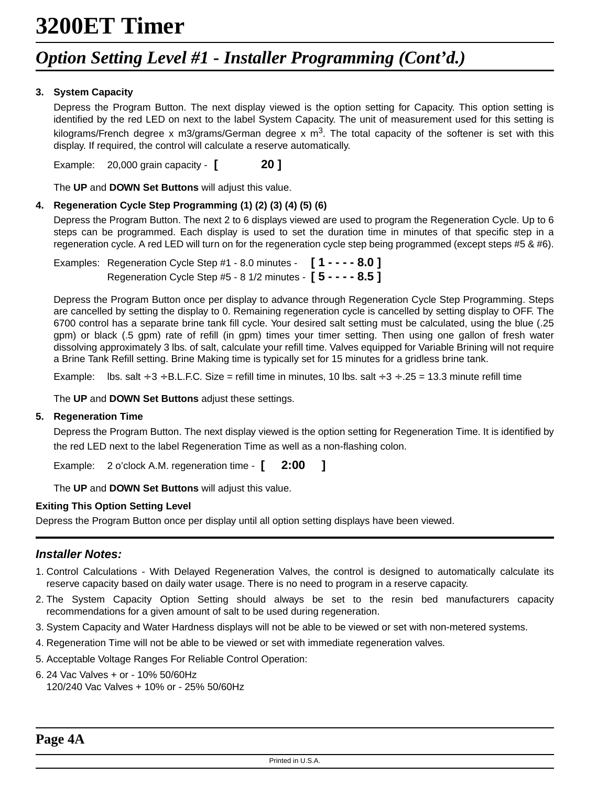### *Option Setting Level #1 - Installer Programming (Cont'd.)*

#### **3. System Capacity**

Depress the Program Button. The next display viewed is the option setting for Capacity. This option setting is identified by the red LED on next to the label System Capacity. The unit of measurement used for this setting is kilograms/French degree x m3/grams/German degree x  $m<sup>3</sup>$ . The total capacity of the softener is set with this display. If required, the control will calculate a reserve automatically.

Example: 20,000 grain capacity - **[ 20 ]**

The **UP** and **DOWN Set Buttons** will adjust this value.

#### **4. Regeneration Cycle Step Programming (1) (2) (3) (4) (5) (6)**

Depress the Program Button. The next 2 to 6 displays viewed are used to program the Regeneration Cycle. Up to 6 steps can be programmed. Each display is used to set the duration time in minutes of that specific step in a regeneration cycle. A red LED will turn on for the regeneration cycle step being programmed (except steps #5 & #6).

Examples: Regeneration Cycle Step #1 - 8.0 minutes - **[ 1 - - - - 8.0 ]** Regeneration Cycle Step #5 - 8 1/2 minutes - **[ 5 - - - - 8.5 ]**

Depress the Program Button once per display to advance through Regeneration Cycle Step Programming. Steps are cancelled by setting the display to 0. Remaining regeneration cycle is cancelled by setting display to OFF. The 6700 control has a separate brine tank fill cycle. Your desired salt setting must be calculated, using the blue (.25 gpm) or black (.5 gpm) rate of refill (in gpm) times your timer setting. Then using one gallon of fresh water dissolving approximately 3 lbs. of salt, calculate your refill time. Valves equipped for Variable Brining will not require a Brine Tank Refill setting. Brine Making time is typically set for 15 minutes for a gridless brine tank.

Example: lbs. salt  $\div$  3  $\div$  B.L.F.C. Size = refill time in minutes, 10 lbs. salt  $\div$  3  $\div$  .25 = 13.3 minute refill time

The **UP** and **DOWN Set Buttons** adjust these settings.

#### **5. Regeneration Time**

Depress the Program Button. The next display viewed is the option setting for Regeneration Time. It is identified by the red LED next to the label Regeneration Time as well as a non-flashing colon.

Example: 2 o'clock A.M. regeneration time - **[ 2:00 ]**

The **UP** and **DOWN Set Buttons** will adjust this value.

#### **Exiting This Option Setting Level**

Depress the Program Button once per display until all option setting displays have been viewed.

#### **Installer Notes:**

- 1. Control Calculations With Delayed Regeneration Valves, the control is designed to automatically calculate its reserve capacity based on daily water usage. There is no need to program in a reserve capacity.
- 2. The System Capacity Option Setting should always be set to the resin bed manufacturers capacity recommendations for a given amount of salt to be used during regeneration.
- 3. System Capacity and Water Hardness displays will not be able to be viewed or set with non-metered systems.
- 4. Regeneration Time will not be able to be viewed or set with immediate regeneration valves.
- 5. Acceptable Voltage Ranges For Reliable Control Operation:
- 6. 24 Vac Valves + or 10% 50/60Hz 120/240 Vac Valves + 10% or - 25% 50/60Hz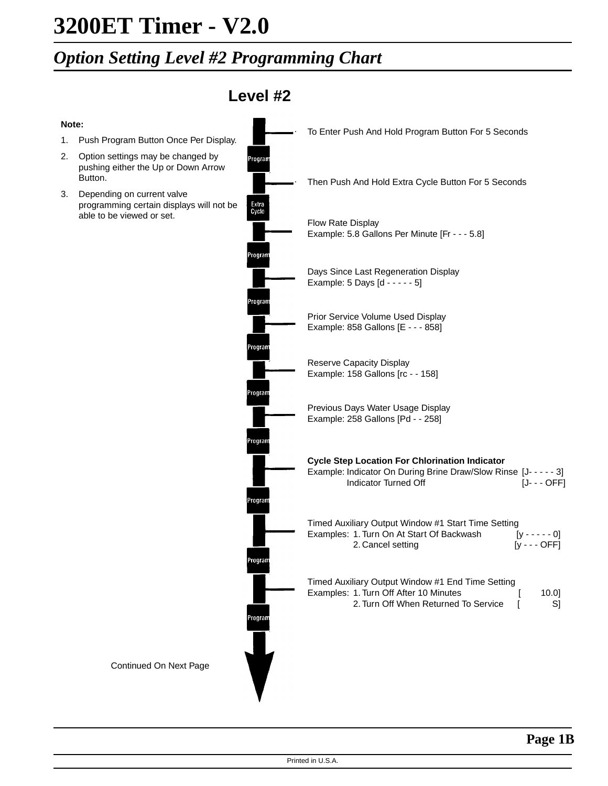### *Option Setting Level #2 Programming Chart*

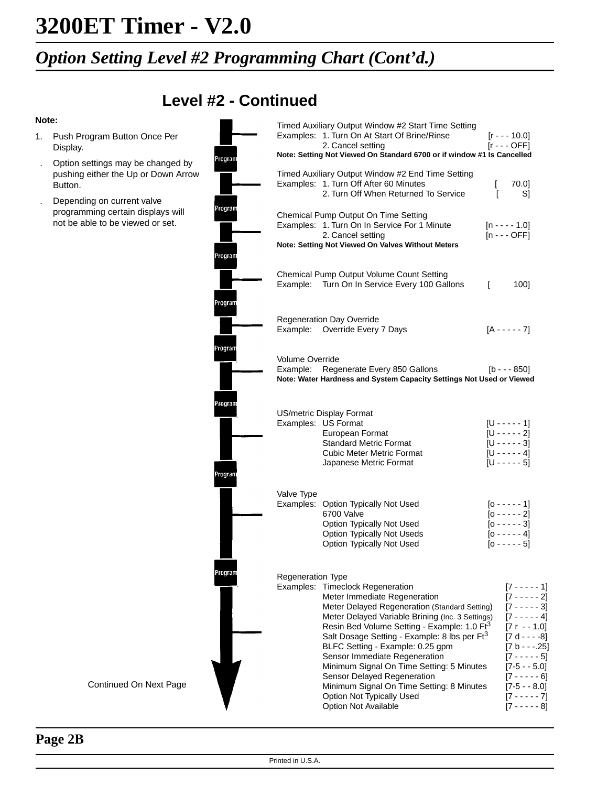### *Option Setting Level #2 Programming Chart (Cont'd.)*

### **Level #2 - Continued**

#### **Note:**

- 1. Push Program Button Once Per Display.
- . Option settings may be changed by pushing either the Up or Down Arrow Button.
- . Depending on current valve programming certain displays will not be able to be viewed or set.

|                    |                             | Timed Auxiliary Output Window #2 Start Time Setting<br>Examples: 1. Turn On At Start Of Brine/Rinse<br>2. Cancel setting                                                                                                                                                                                                                                                                                                                                                                                                                        |              | $[r - - 10.0]$<br>$[r - - OPT]$                                                                                                                                                                                                             |  |
|--------------------|-----------------------------|-------------------------------------------------------------------------------------------------------------------------------------------------------------------------------------------------------------------------------------------------------------------------------------------------------------------------------------------------------------------------------------------------------------------------------------------------------------------------------------------------------------------------------------------------|--------------|---------------------------------------------------------------------------------------------------------------------------------------------------------------------------------------------------------------------------------------------|--|
| Program            |                             | Note: Setting Not Viewed On Standard 6700 or if window #1 Is Cancelled                                                                                                                                                                                                                                                                                                                                                                                                                                                                          |              |                                                                                                                                                                                                                                             |  |
|                    |                             | Timed Auxiliary Output Window #2 End Time Setting<br>Examples: 1. Turn Off After 60 Minutes<br>2. Turn Off When Returned To Service                                                                                                                                                                                                                                                                                                                                                                                                             | L<br>ſ       | 70.0]<br>S]                                                                                                                                                                                                                                 |  |
| Program<br>Program |                             | Chemical Pump Output On Time Setting<br>Examples: 1. Turn On In Service For 1 Minute<br>2. Cancel setting<br>Note: Setting Not Viewed On Valves Without Meters                                                                                                                                                                                                                                                                                                                                                                                  |              | $[n - - - 1.0]$<br>$[n - -$ OFF]                                                                                                                                                                                                            |  |
| Program            |                             | Chemical Pump Output Volume Count Setting<br>Example: Turn On In Service Every 100 Gallons                                                                                                                                                                                                                                                                                                                                                                                                                                                      | $\mathsf{L}$ | 100]                                                                                                                                                                                                                                        |  |
|                    |                             | <b>Regeneration Day Override</b><br>Example: Override Every 7 Days                                                                                                                                                                                                                                                                                                                                                                                                                                                                              |              | $[A - - - - 7]$                                                                                                                                                                                                                             |  |
| Program            | Volume Override<br>Example: | Regenerate Every 850 Gallons<br>Note: Water Hardness and System Capacity Settings Not Used or Viewed                                                                                                                                                                                                                                                                                                                                                                                                                                            |              | $[b - - 850]$                                                                                                                                                                                                                               |  |
| Program<br>Program |                             | US/metric Display Format<br>Examples: US Format<br>European Format<br><b>Standard Metric Format</b><br><b>Cubic Meter Metric Format</b><br>Japanese Metric Format                                                                                                                                                                                                                                                                                                                                                                               |              | $[U - - - - 1]$<br>$[U - - - - 2]$<br>$[U - - - - 3]$<br>$[U - - - - 4]$<br>$[U - - - - 5]$                                                                                                                                                 |  |
|                    | Valve Type                  | Examples: Option Typically Not Used<br>6700 Valve<br>Option Typically Not Used<br>Option Typically Not Useds<br>Option Typically Not Used                                                                                                                                                                                                                                                                                                                                                                                                       |              | $[0 - - - - 1]$<br>$[0 - - - - 2]$<br>$[0 - - - - - 3]$<br>$[0 - - - - 4]$<br>$[0 - - - - 5]$                                                                                                                                               |  |
| Program            | Regeneration Type           | Examples: Timeclock Regeneration<br>Meter Immediate Regeneration<br>Meter Delayed Regeneration (Standard Setting)<br>Meter Delayed Variable Brining (Inc. 3 Settings)<br>Resin Bed Volume Setting - Example: 1.0 Ft <sup>3</sup><br>Salt Dosage Setting - Example: 8 lbs per Ft <sup>3</sup><br>BLFC Setting - Example: 0.25 gpm<br>Sensor Immediate Regeneration<br>Minimum Signal On Time Setting: 5 Minutes<br>Sensor Delayed Regeneration<br>Minimum Signal On Time Setting: 8 Minutes<br>Option Not Typically Used<br>Option Not Available |              | [7 - - - - - 1]<br>$[7 - - - - 2]$<br>$[7 - - - - 3]$<br>$[7 - - - - 4]$<br>$[7r - 1.0]$<br>$[7 d - - -8]$<br>$[7 b - -0.25]$<br>$[7 - - - - 5]$<br>$[7-5 - 5.0]$<br>$[7 - - - - 6]$<br>$[7-5 - 8.0]$<br>$[7 - - - - 7]$<br>$[7 - - - - 8]$ |  |

#### Continued On Next Page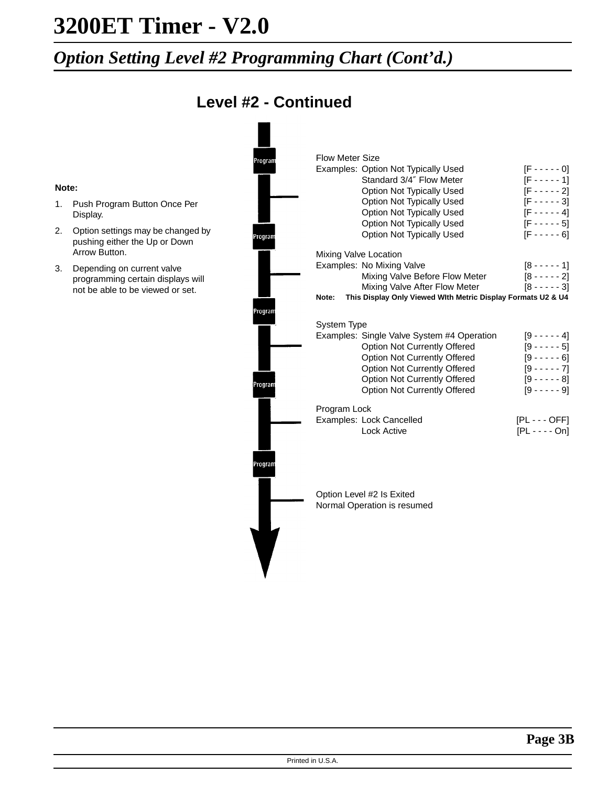### *Option Setting Level #2 Programming Chart (Cont'd.)*

### **Level #2 - Continued**

|       |                                                                    | Program | <b>Flow Meter Size</b>                                                |                   |
|-------|--------------------------------------------------------------------|---------|-----------------------------------------------------------------------|-------------------|
|       |                                                                    |         | Examples: Option Not Typically Used                                   | $[F - - - - 0]$   |
|       |                                                                    |         | Standard 3/4" Flow Meter                                              | $[F - - - - 1]$   |
| Note: |                                                                    |         | Option Not Typically Used                                             | $[F - - - - 2]$   |
| 1.    | Push Program Button Once Per                                       |         | Option Not Typically Used                                             | $[F - - - - - 3]$ |
|       | Display.                                                           |         | <b>Option Not Typically Used</b>                                      | $[F - - - - 4]$   |
| 2.    |                                                                    |         | <b>Option Not Typically Used</b>                                      | $[F - - - - 5]$   |
|       | Option settings may be changed by<br>pushing either the Up or Down | Program | <b>Option Not Typically Used</b>                                      | $[F - - - - 6]$   |
|       | Arrow Button.                                                      |         | Mixing Valve Location                                                 |                   |
| 3.    | Depending on current valve                                         |         | Examples: No Mixing Valve                                             | $[8 - - - - 1]$   |
|       | programming certain displays will                                  |         | Mixing Valve Before Flow Meter                                        | $[8 - - - - 2]$   |
|       | not be able to be viewed or set.                                   |         | Mixing Valve After Flow Meter                                         | $[8 - - - - 3]$   |
|       |                                                                    |         | This Display Only Viewed With Metric Display Formats U2 & U4<br>Note: |                   |
|       |                                                                    | Program |                                                                       |                   |
|       |                                                                    |         | <b>System Type</b>                                                    |                   |
|       |                                                                    |         | Examples: Single Valve System #4 Operation                            | $[9 - - - - 4]$   |
|       |                                                                    |         | Option Not Currently Offered                                          | $[9 - - - - 5]$   |
|       |                                                                    |         | Option Not Currently Offered                                          | $[9 - - - - 6]$   |
|       |                                                                    |         | Option Not Currently Offered                                          | $[9 - - - - 7]$   |
|       |                                                                    | Program | Option Not Currently Offered                                          | $[9 - - - - 8]$   |
|       |                                                                    |         | Option Not Currently Offered                                          | $[9 - - - - 9]$   |
|       |                                                                    |         | Program Lock                                                          |                   |
|       |                                                                    |         | Examples: Lock Cancelled                                              | $[PL--OFF]$       |
|       |                                                                    |         | <b>Lock Active</b>                                                    | $[PL - - - On]$   |
|       |                                                                    |         |                                                                       |                   |
|       |                                                                    |         |                                                                       |                   |
|       |                                                                    | Progran |                                                                       |                   |
|       |                                                                    |         |                                                                       |                   |
|       |                                                                    |         |                                                                       |                   |
|       |                                                                    |         | Option Level #2 Is Exited                                             |                   |
|       |                                                                    |         | Normal Operation is resumed                                           |                   |
|       |                                                                    |         |                                                                       |                   |

J.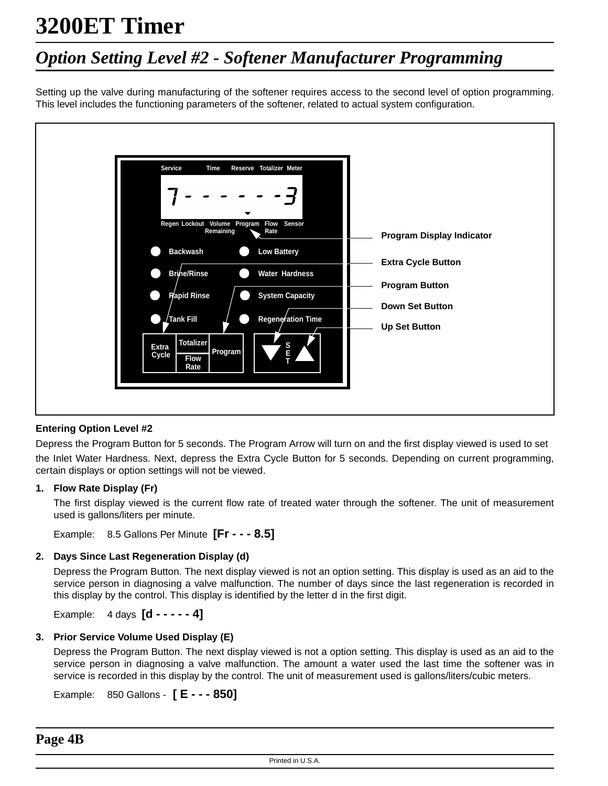## *Option Setting Level #2 - Softener Manufacturer Programming*

Setting up the valve during manufacturing of the softener requires access to the second level of option programming. This level includes the functioning parameters of the softener, related to actual system configuration.



#### **Entering Option Level #2**

Depress the Program Button for 5 seconds. The Program Arrow will turn on and the first display viewed is used to set the Inlet Water Hardness. Next, depress the Extra Cycle Button for 5 seconds. Depending on current programming, certain displays or option settings will not be viewed.

#### **1. Flow Rate Display (Fr)**

The first display viewed is the current flow rate of treated water through the softener. The unit of measurement used is gallons/liters per minute.

Example: 8.5 Gallons Per Minute **[Fr - - - 8.5]**

#### **2. Days Since Last Regeneration Display (d)**

Depress the Program Button. The next display viewed is not an option setting. This display is used as an aid to the service person in diagnosing a valve malfunction. The number of days since the last regeneration is recorded in this display by the control. This display is identified by the letter d in the first digit.

Example: 4 days **[d - - - - - 4]**

#### **3. Prior Service Volume Used Display (E)**

Depress the Program Button. The next display viewed is not a option setting. This display is used as an aid to the service person in diagnosing a valve malfunction. The amount a water used the last time the softener was in service is recorded in this display by the control. The unit of measurement used is gallons/liters/cubic meters.

Example: 850 Gallons - **[ E - - - 850]**

**Page 4B**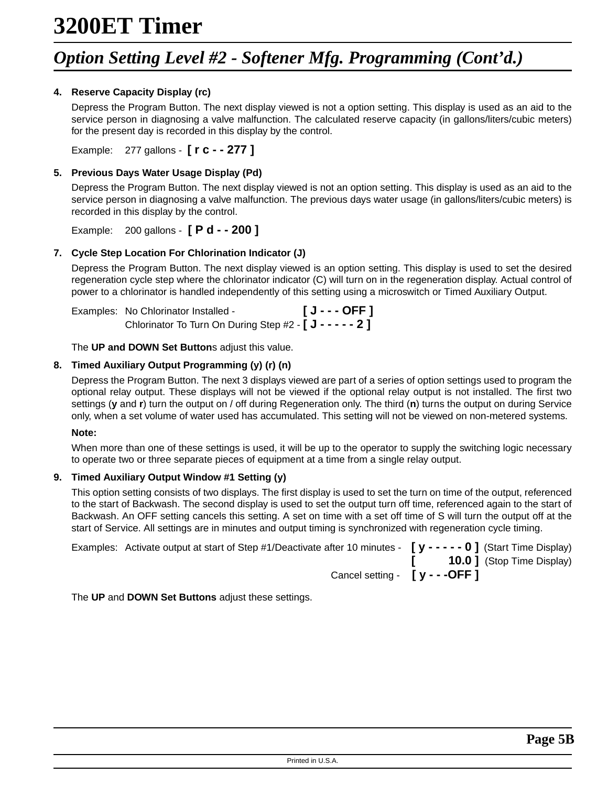### *Option Setting Level #2 - Softener Mfg. Programming (Cont'd.)*

#### **4. Reserve Capacity Display (rc)**

Depress the Program Button. The next display viewed is not a option setting. This display is used as an aid to the service person in diagnosing a valve malfunction. The calculated reserve capacity (in gallons/liters/cubic meters) for the present day is recorded in this display by the control.

Example: 277 gallons - **[ r c - - 277 ]**

#### **5. Previous Days Water Usage Display (Pd)**

Depress the Program Button. The next display viewed is not an option setting. This display is used as an aid to the service person in diagnosing a valve malfunction. The previous days water usage (in gallons/liters/cubic meters) is recorded in this display by the control.

Example: 200 gallons - **[ P d - - 200 ]**

#### **7. Cycle Step Location For Chlorination Indicator (J)**

Depress the Program Button. The next display viewed is an option setting. This display is used to set the desired regeneration cycle step where the chlorinator indicator (C) will turn on in the regeneration display. Actual control of power to a chlorinator is handled independently of this setting using a microswitch or Timed Auxiliary Output.

| Examples: No Chlorinator Installed -                                                     | $[J--OFF]$ |
|------------------------------------------------------------------------------------------|------------|
| Chlorinator To Turn On During Step #2 - $\left[\right. \mathsf{J}$ - - - - - 2 $\right]$ |            |

The **UP and DOWN Set Button**s adjust this value.

#### **8. Timed Auxiliary Output Programming (y) (r) (n)**

Depress the Program Button. The next 3 displays viewed are part of a series of option settings used to program the optional relay output. These displays will not be viewed if the optional relay output is not installed. The first two settings (**y** and **r**) turn the output on / off during Regeneration only. The third (**n**) turns the output on during Service only, when a set volume of water used has accumulated. This setting will not be viewed on non-metered systems.

#### **Note:**

When more than one of these settings is used, it will be up to the operator to supply the switching logic necessary to operate two or three separate pieces of equipment at a time from a single relay output.

#### **9. Timed Auxiliary Output Window #1 Setting (y)**

This option setting consists of two displays. The first display is used to set the turn on time of the output, referenced to the start of Backwash. The second display is used to set the output turn off time, referenced again to the start of Backwash. An OFF setting cancels this setting. A set on time with a set off time of S will turn the output off at the start of Service. All settings are in minutes and output timing is synchronized with regeneration cycle timing.

| Examples: Activate output at start of Step #1/Deactivate after 10 minutes - $[y - - - - 0]$ (Start Time Display) |                                         |
|------------------------------------------------------------------------------------------------------------------|-----------------------------------------|
|                                                                                                                  | $[$ <b>10.0</b> $]$ (Stop Time Display) |
| Cancel setting - $[y - -$ OFF                                                                                    |                                         |

The **UP** and **DOWN Set Buttons** adjust these settings.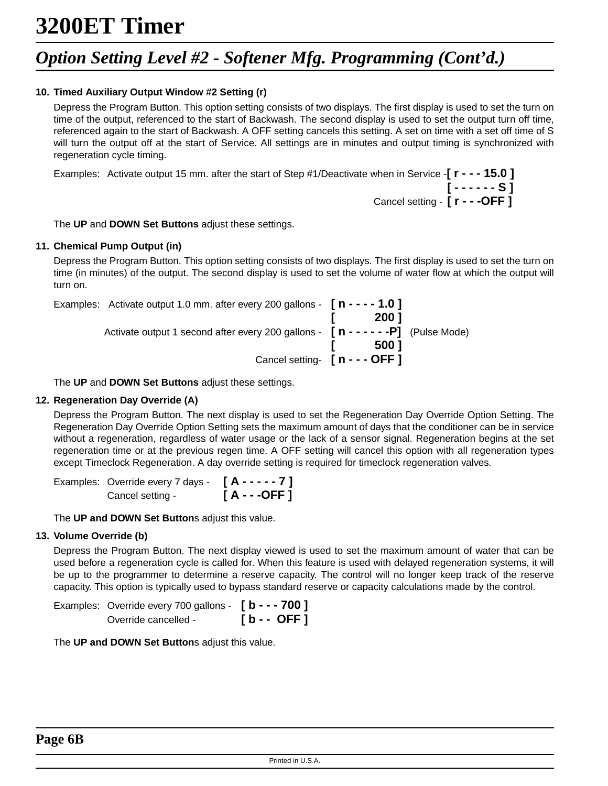### *Option Setting Level #2 - Softener Mfg. Programming (Cont'd.)*

#### **10. Timed Auxiliary Output Window #2 Setting (r)**

Depress the Program Button. This option setting consists of two displays. The first display is used to set the turn on time of the output, referenced to the start of Backwash. The second display is used to set the output turn off time, referenced again to the start of Backwash. A OFF setting cancels this setting. A set on time with a set off time of S will turn the output off at the start of Service. All settings are in minutes and output timing is synchronized with regeneration cycle timing.

Examples: Activate output 15 mm. after the start of Step #1/Deactivate when in Service -**[ r - - - 15.0 ] [ - - - - - - S ]** Cancel setting - **[ r - - -OFF ]**

The **UP** and **DOWN Set Buttons** adjust these settings.

#### **11. Chemical Pump Output (in)**

Depress the Program Button. This option setting consists of two displays. The first display is used to set the turn on time (in minutes) of the output. The second display is used to set the volume of water flow at which the output will turn on.

|       | Examples: Activate output 1.0 mm. after every 200 gallons - $\int n - - - 1.0$   |  |
|-------|----------------------------------------------------------------------------------|--|
| 200 1 |                                                                                  |  |
|       | Activate output 1 second after every 200 gallons - $[n - - - - -P]$ (Pulse Mode) |  |
| 500 1 |                                                                                  |  |
|       | Cancel setting- $[n - -$ OFF 1                                                   |  |

The **UP** and **DOWN Set Buttons** adjust these settings.

#### **12. Regeneration Day Override (A)**

Depress the Program Button. The next display is used to set the Regeneration Day Override Option Setting. The Regeneration Day Override Option Setting sets the maximum amount of days that the conditioner can be in service without a regeneration, regardless of water usage or the lack of a sensor signal. Regeneration begins at the set regeneration time or at the previous regen time. A OFF setting will cancel this option with all regeneration types except Timeclock Regeneration. A day override setting is required for timeclock regeneration valves.

Examples: Override every 7 days - **[ A - - - - - 7 ]** Cancel setting - **[ A - - -OFF ]**

The **UP and DOWN Set Button**s adjust this value.

#### **13. Volume Override (b)**

Depress the Program Button. The next display viewed is used to set the maximum amount of water that can be used before a regeneration cycle is called for. When this feature is used with delayed regeneration systems, it will be up to the programmer to determine a reserve capacity. The control will no longer keep track of the reserve capacity. This option is typically used to bypass standard reserve or capacity calculations made by the control.

| Examples: Override every 700 gallons - $[$ <b>b</b> - - - 700 ] |             |
|-----------------------------------------------------------------|-------------|
| Override cancelled -                                            | $[b - OFF]$ |

The **UP and DOWN Set Button**s adjust this value.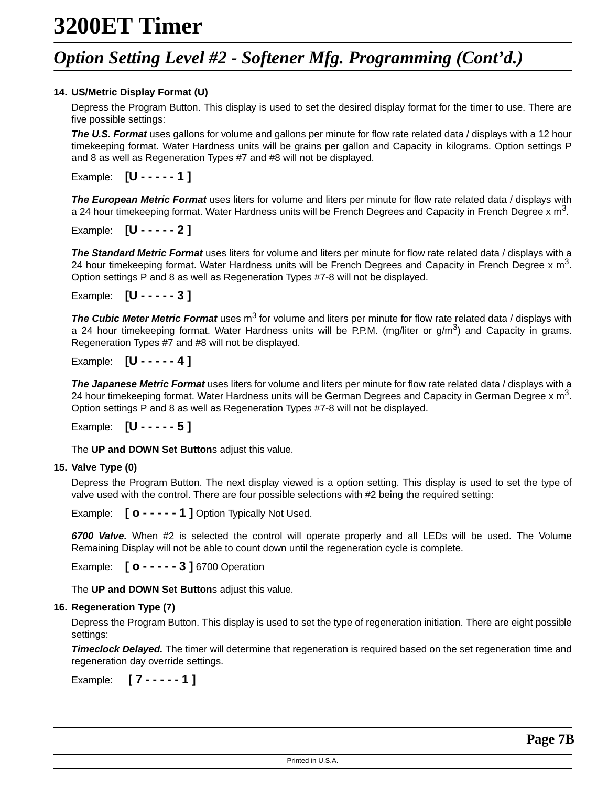### *Option Setting Level #2 - Softener Mfg. Programming (Cont'd.)*

#### **14. US/Metric Display Format (U)**

Depress the Program Button. This display is used to set the desired display format for the timer to use. There are five possible settings:

**The U.S. Format** uses gallons for volume and gallons per minute for flow rate related data / displays with a 12 hour timekeeping format. Water Hardness units will be grains per gallon and Capacity in kilograms. Option settings P and 8 as well as Regeneration Types #7 and #8 will not be displayed.

Example: **[U - - - - - 1 ]**

**The European Metric Format** uses liters for volume and liters per minute for flow rate related data / displays with a 24 hour timekeeping format. Water Hardness units will be French Degrees and Capacity in French Degree x  $m^3$ .

Example: **[U - - - - - 2 ]**

**The Standard Metric Format** uses liters for volume and liters per minute for flow rate related data / displays with a 24 hour timekeeping format. Water Hardness units will be French Degrees and Capacity in French Degree x  $m<sup>3</sup>$ . Option settings P and 8 as well as Regeneration Types #7-8 will not be displayed.

Example: **[U - - - - - 3 ]**

**The Cubic Meter Metric Format** uses m<sup>3</sup> for volume and liters per minute for flow rate related data / displays with a 24 hour timekeeping format. Water Hardness units will be P.P.M. (mg/liter or  $q/m<sup>3</sup>$ ) and Capacity in grams. Regeneration Types #7 and #8 will not be displayed.

Example: **[U - - - - - 4 ]**

**The Japanese Metric Format** uses liters for volume and liters per minute for flow rate related data / displays with a 24 hour timekeeping format. Water Hardness units will be German Degrees and Capacity in German Degree x  $m<sup>3</sup>$ . Option settings P and 8 as well as Regeneration Types #7-8 will not be displayed.

Example: **[U - - - - - 5 ]**

The **UP and DOWN Set Button**s adjust this value.

#### **15. Valve Type (0)**

Depress the Program Button. The next display viewed is a option setting. This display is used to set the type of valve used with the control. There are four possible selections with #2 being the required setting:

Example: **[ o - - - - - 1 ]** Option Typically Not Used.

**6700 Valve.** When #2 is selected the control will operate properly and all LEDs will be used. The Volume Remaining Display will not be able to count down until the regeneration cycle is complete.

Example: **[ o - - - - - 3 ]** 6700 Operation

The **UP and DOWN Set Button**s adjust this value.

#### **16. Regeneration Type (7)**

Depress the Program Button. This display is used to set the type of regeneration initiation. There are eight possible settings:

**Timeclock Delayed.** The timer will determine that regeneration is required based on the set regeneration time and regeneration day override settings.

Example: **[ 7 - - - - - 1 ]**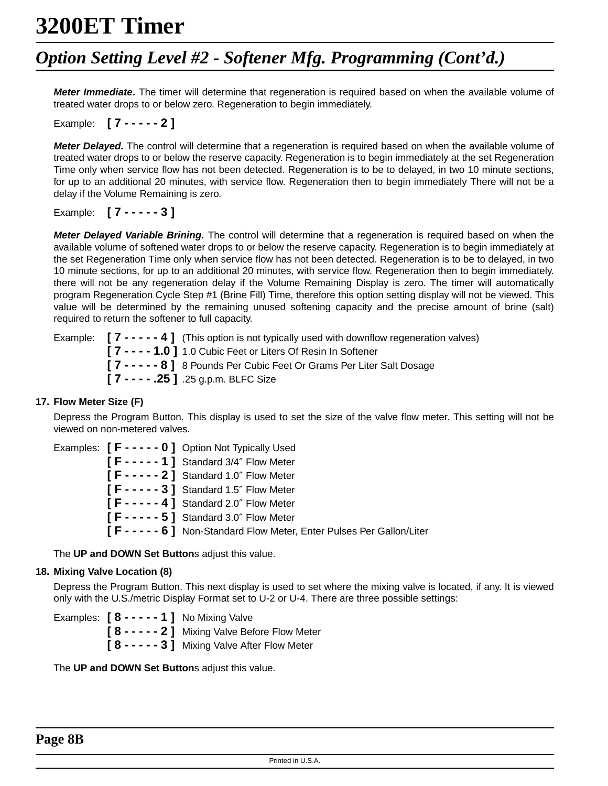### *Option Setting Level #2 - Softener Mfg. Programming (Cont'd.)*

**Meter Immediate.** The timer will determine that regeneration is required based on when the available volume of treated water drops to or below zero. Regeneration to begin immediately.

#### Example: **[ 7 - - - - - 2 ]**

**Meter Delayed.** The control will determine that a regeneration is required based on when the available volume of treated water drops to or below the reserve capacity. Regeneration is to begin immediately at the set Regeneration Time only when service flow has not been detected. Regeneration is to be to delayed, in two 10 minute sections, for up to an additional 20 minutes, with service flow. Regeneration then to begin immediately There will not be a delay if the Volume Remaining is zero.

Example: **[ 7 - - - - - 3 ]**

**Meter Delayed Variable Brining.** The control will determine that a regeneration is required based on when the available volume of softened water drops to or below the reserve capacity. Regeneration is to begin immediately at the set Regeneration Time only when service flow has not been detected. Regeneration is to be to delayed, in two 10 minute sections, for up to an additional 20 minutes, with service flow. Regeneration then to begin immediately. there will not be any regeneration delay if the Volume Remaining Display is zero. The timer will automatically program Regeneration Cycle Step #1 (Brine Fill) Time, therefore this option setting display will not be viewed. This value will be determined by the remaining unused softening capacity and the precise amount of brine (salt) required to return the softener to full capacity.

| Example: $\begin{bmatrix} 7 & - & - & - & 4 \end{bmatrix}$ (This option is not typically used with downflow regeneration valves) |
|----------------------------------------------------------------------------------------------------------------------------------|
| [7 - - - - 1.0] 1.0 Cubic Feet or Liters Of Resin In Softener                                                                    |
| [7 - - - - - 8] 8 Pounds Per Cubic Feet Or Grams Per Liter Salt Dosage                                                           |
| $[7 - - - .25]$ .25 g.p.m. BLFC Size                                                                                             |

#### **17. Flow Meter Size (F)**

Depress the Program Button. This display is used to set the size of the valve flow meter. This setting will not be viewed on non-metered valves.

|  | Examples: $[F - - - - 0]$ Option Not Typically Used                    |
|--|------------------------------------------------------------------------|
|  | $[F - - - - 1]$ Standard 3/4" Flow Meter                               |
|  | $[F - - - - 2]$ Standard 1.0" Flow Meter                               |
|  | $[F - - - - 3]$ Standard 1.5" Flow Meter                               |
|  | $[F - - - - 4]$ Standard 2.0" Flow Meter                               |
|  | $[F - - - - 5]$ Standard 3.0" Flow Meter                               |
|  | [F - - - - - 6] Non-Standard Flow Meter, Enter Pulses Per Gallon/Liter |

The **UP and DOWN Set Button**s adjust this value.

#### **18. Mixing Valve Location (8)**

Depress the Program Button. This next display is used to set where the mixing valve is located, if any. It is viewed only with the U.S./metric Display Format set to U-2 or U-4. There are three possible settings:

Examples: **[ 8 - - - - - 1 ]** No Mixing Valve **[ 8 - - - - - 2 ]** Mixing Valve Before Flow Meter **[ 8 - - - - - 3 ]** Mixing Valve After Flow Meter

The **UP and DOWN Set Button**s adjust this value.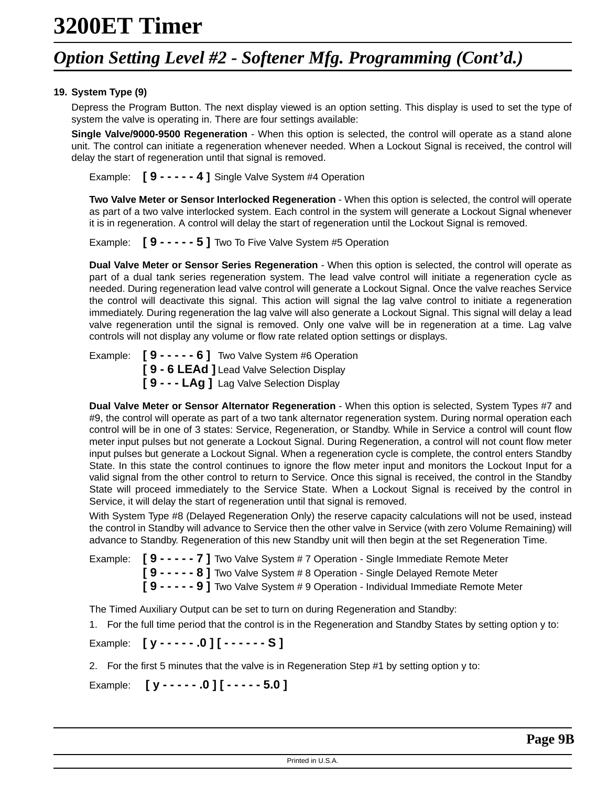### *Option Setting Level #2 - Softener Mfg. Programming (Cont'd.)*

#### **19. System Type (9)**

Depress the Program Button. The next display viewed is an option setting. This display is used to set the type of system the valve is operating in. There are four settings available:

**Single Valve/9000-9500 Regeneration** - When this option is selected, the control will operate as a stand alone unit. The control can initiate a regeneration whenever needed. When a Lockout Signal is received, the control will delay the start of regeneration until that signal is removed.

Example: **[ 9 - - - - - 4 ]** Single Valve System #4 Operation

**Two Valve Meter or Sensor Interlocked Regeneration** - When this option is selected, the control will operate as part of a two valve interlocked system. Each control in the system will generate a Lockout Signal whenever it is in regeneration. A control will delay the start of regeneration until the Lockout Signal is removed.

Example: **[ 9 - - - - - 5 ]** Two To Five Valve System #5 Operation

**Dual Valve Meter or Sensor Series Regeneration** - When this option is selected, the control will operate as part of a dual tank series regeneration system. The lead valve control will initiate a regeneration cycle as needed. During regeneration lead valve control will generate a Lockout Signal. Once the valve reaches Service the control will deactivate this signal. This action will signal the lag valve control to initiate a regeneration immediately. During regeneration the lag valve will also generate a Lockout Signal. This signal will delay a lead valve regeneration until the signal is removed. Only one valve will be in regeneration at a time. Lag valve controls will not display any volume or flow rate related option settings or displays.

Example: **[ 9 - - - - - 6 ]** Two Valve System #6 Operation **[ 9 - 6 LEAd ]** Lead Valve Selection Display **[ 9 - - - LAg ]** Lag Valve Selection Display

**Dual Valve Meter or Sensor Alternator Regeneration** - When this option is selected, System Types #7 and #9, the control will operate as part of a two tank alternator regeneration system. During normal operation each control will be in one of 3 states: Service, Regeneration, or Standby. While in Service a control will count flow meter input pulses but not generate a Lockout Signal. During Regeneration, a control will not count flow meter input pulses but generate a Lockout Signal. When a regeneration cycle is complete, the control enters Standby State. In this state the control continues to ignore the flow meter input and monitors the Lockout Input for a valid signal from the other control to return to Service. Once this signal is received, the control in the Standby State will proceed immediately to the Service State. When a Lockout Signal is received by the control in Service, it will delay the start of regeneration until that signal is removed.

With System Type #8 (Delayed Regeneration Only) the reserve capacity calculations will not be used, instead the control in Standby will advance to Service then the other valve in Service (with zero Volume Remaining) will advance to Standby. Regeneration of this new Standby unit will then begin at the set Regeneration Time.

Example: **[ 9 - - - - - 7 ]** Two Valve System # 7 Operation - Single Immediate Remote Meter **[ 9 - - - - - 8 ]** Two Valve System # 8 Operation - Single Delayed Remote Meter **[ 9 - - - - - 9 ]** Two Valve System # 9 Operation - Individual Immediate Remote Meter

The Timed Auxiliary Output can be set to turn on during Regeneration and Standby:

1. For the full time period that the control is in the Regeneration and Standby States by setting option y to:

Example: **[ y - - - - - .0 ] [ - - - - - - S ]**

2. For the first 5 minutes that the valve is in Regeneration Step #1 by setting option y to:

Example: **[ y - - - - - .0 ] [ - - - - - 5.0 ]**